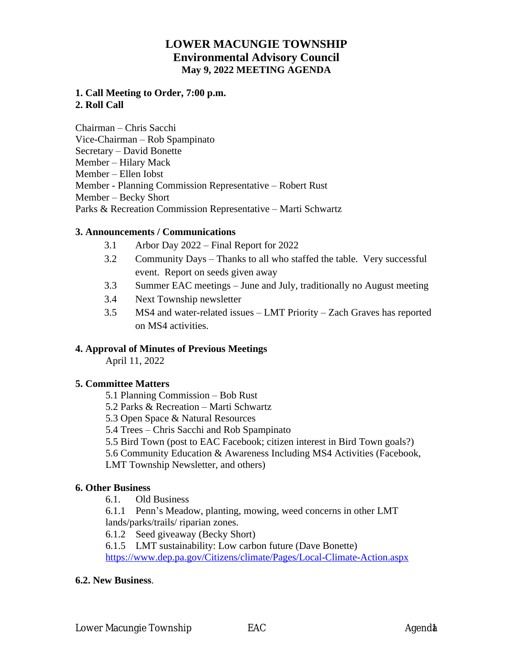# **LOWER MACUNGIE TOWNSHIP Environmental Advisory Council May 9, 2022 MEETING AGENDA**

## **1. Call Meeting to Order, 7:00 p.m. 2. Roll Call**

Chairman – Chris Sacchi Vice-Chairman – Rob Spampinato Secretary – David Bonette Member – Hilary Mack Member – Ellen Iobst Member - Planning Commission Representative – Robert Rust Member – Becky Short Parks & Recreation Commission Representative – Marti Schwartz

#### **3. Announcements / Communications**

- 3.1 Arbor Day 2022 Final Report for 2022
- 3.2 Community Days Thanks to all who staffed the table. Very successful event. Report on seeds given away
- 3.3 Summer EAC meetings June and July, traditionally no August meeting
- 3.4 Next Township newsletter
- 3.5 MS4 and water-related issues LMT Priority Zach Graves has reported on MS4 activities.

## **4. Approval of Minutes of Previous Meetings**

April 11, 2022

## **5. Committee Matters**

5.1 Planning Commission – Bob Rust

- 5.2 Parks & Recreation Marti Schwartz
- 5.3 Open Space & Natural Resources
- 5.4 Trees Chris Sacchi and Rob Spampinato
- 5.5 Bird Town (post to EAC Facebook; citizen interest in Bird Town goals?)

5.6 Community Education & Awareness Including MS4 Activities (Facebook,

LMT Township Newsletter, and others)

#### **6. Other Business**

6.1. Old Business

6.1.1 Penn's Meadow, planting, mowing, weed concerns in other LMT lands/parks/trails/ riparian zones.

6.1.2 Seed giveaway (Becky Short)

6.1.5 LMT sustainability: Low carbon future (Dave Bonette)

<https://www.dep.pa.gov/Citizens/climate/Pages/Local-Climate-Action.aspx>

#### **6.2. New Business**.